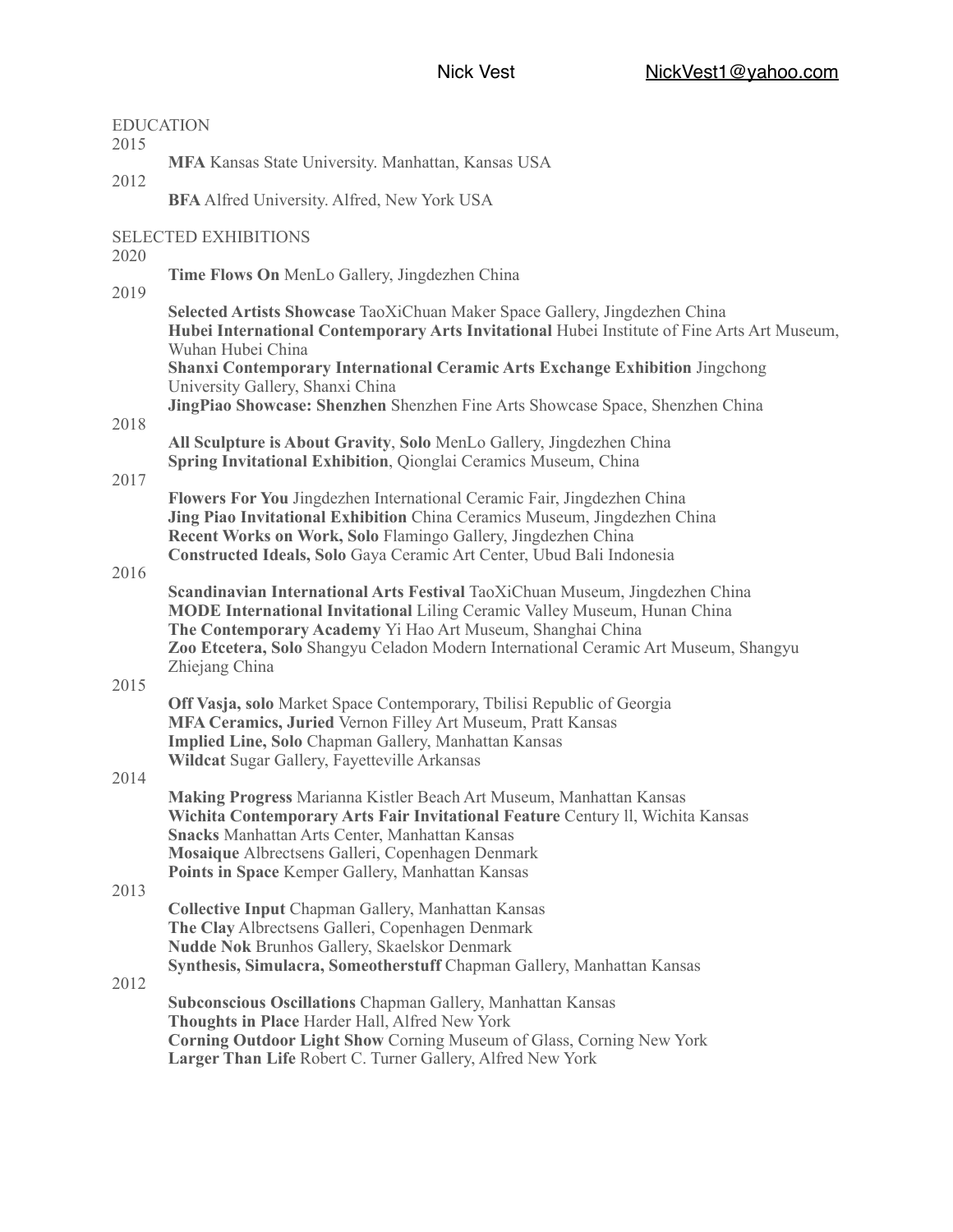| <b>EDUCATION</b><br>2015            |                                                                                                                                                                                                                                                                                                                                         |
|-------------------------------------|-----------------------------------------------------------------------------------------------------------------------------------------------------------------------------------------------------------------------------------------------------------------------------------------------------------------------------------------|
|                                     | MFA Kansas State University. Manhattan, Kansas USA                                                                                                                                                                                                                                                                                      |
| 2012                                | <b>BFA</b> Alfred University. Alfred, New York USA                                                                                                                                                                                                                                                                                      |
| <b>SELECTED EXHIBITIONS</b><br>2020 |                                                                                                                                                                                                                                                                                                                                         |
| 2019                                | Time Flows On MenLo Gallery, Jingdezhen China                                                                                                                                                                                                                                                                                           |
|                                     | Selected Artists Showcase TaoXiChuan Maker Space Gallery, Jingdezhen China<br>Hubei International Contemporary Arts Invitational Hubei Institute of Fine Arts Art Museum,<br>Wuhan Hubei China                                                                                                                                          |
|                                     | <b>Shanxi Contemporary International Ceramic Arts Exchange Exhibition Jingchong</b><br>University Gallery, Shanxi China                                                                                                                                                                                                                 |
| 2018                                | JingPiao Showcase: Shenzhen Shenzhen Fine Arts Showcase Space, Shenzhen China                                                                                                                                                                                                                                                           |
|                                     | All Sculpture is About Gravity, Solo MenLo Gallery, Jingdezhen China<br>Spring Invitational Exhibition, Qionglai Ceramics Museum, China                                                                                                                                                                                                 |
| 2017                                | Flowers For You Jingdezhen International Ceramic Fair, Jingdezhen China<br>Jing Piao Invitational Exhibition China Ceramics Museum, Jingdezhen China<br>Recent Works on Work, Solo Flamingo Gallery, Jingdezhen China<br>Constructed Ideals, Solo Gaya Ceramic Art Center, Ubud Bali Indonesia                                          |
| 2016                                | Scandinavian International Arts Festival TaoXiChuan Museum, Jingdezhen China<br><b>MODE International Invitational Liling Ceramic Valley Museum, Hunan China</b><br>The Contemporary Academy Yi Hao Art Museum, Shanghai China<br>Zoo Etcetera, Solo Shangyu Celadon Modern International Ceramic Art Museum, Shangyu<br>Zhiejang China |
| 2015                                | Off Vasja, solo Market Space Contemporary, Tbilisi Republic of Georgia<br>MFA Ceramics, Juried Vernon Filley Art Museum, Pratt Kansas<br>Implied Line, Solo Chapman Gallery, Manhattan Kansas<br>Wildcat Sugar Gallery, Fayetteville Arkansas                                                                                           |
| 2014                                | Making Progress Marianna Kistler Beach Art Museum, Manhattan Kansas<br>Wichita Contemporary Arts Fair Invitational Feature Century II, Wichita Kansas<br><b>Snacks Manhattan Arts Center, Manhattan Kansas</b><br>Mosaique Albrectsens Galleri, Copenhagen Denmark<br>Points in Space Kemper Gallery, Manhattan Kansas                  |
| 2013                                | <b>Collective Input Chapman Gallery, Manhattan Kansas</b><br>The Clay Albrectsens Galleri, Copenhagen Denmark<br><b>Nudde Nok Brunhos Gallery, Skaelskor Denmark</b><br>Synthesis, Simulacra, Someotherstuff Chapman Gallery, Manhattan Kansas                                                                                          |
| 2012                                | <b>Subconscious Oscillations Chapman Gallery, Manhattan Kansas</b><br>Thoughts in Place Harder Hall, Alfred New York<br>Corning Outdoor Light Show Corning Museum of Glass, Corning New York<br>Larger Than Life Robert C. Turner Gallery, Alfred New York                                                                              |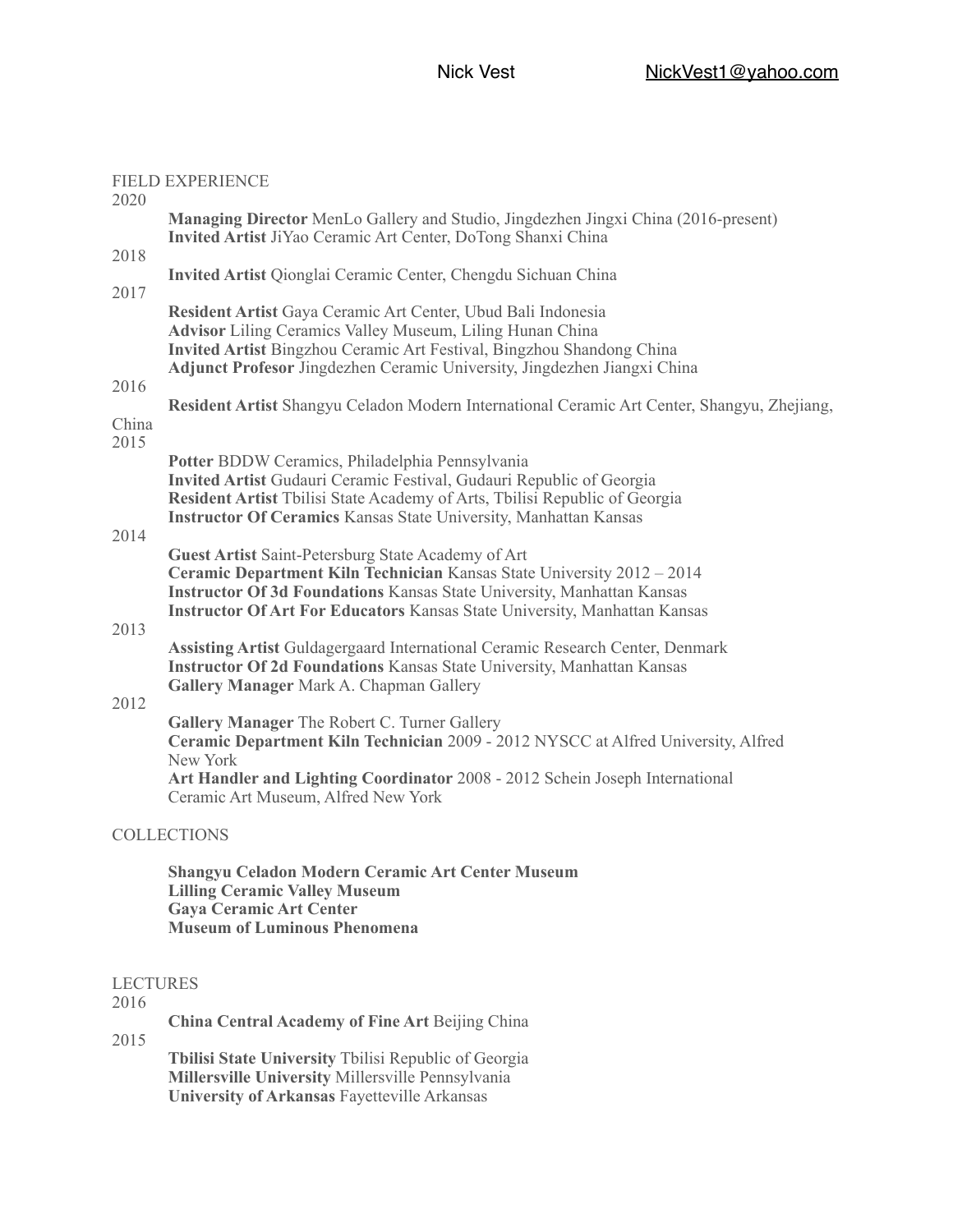## FIELD EXPERIENCE 2020 **Managing Director** MenLo Gallery and Studio, Jingdezhen Jingxi China (2016-present) **Invited Artist** JiYao Ceramic Art Center, DoTong Shanxi China 2018 **Invited Artist** Qionglai Ceramic Center, Chengdu Sichuan China 2017 **Resident Artist** Gaya Ceramic Art Center, Ubud Bali Indonesia **Advisor** Liling Ceramics Valley Museum, Liling Hunan China **Invited Artist** Bingzhou Ceramic Art Festival, Bingzhou Shandong China **Adjunct Profesor** Jingdezhen Ceramic University, Jingdezhen Jiangxi China 2016 **Resident Artist** Shangyu Celadon Modern International Ceramic Art Center, Shangyu, Zhejiang, China 2015 **Potter** BDDW Ceramics, Philadelphia Pennsylvania **Invited Artist** Gudauri Ceramic Festival, Gudauri Republic of Georgia **Resident Artist** Tbilisi State Academy of Arts, Tbilisi Republic of Georgia **Instructor Of Ceramics** Kansas State University, Manhattan Kansas 2014 **Guest Artist** Saint-Petersburg State Academy of Art **Ceramic Department Kiln Technician** Kansas State University 2012 – 2014 **Instructor Of 3d Foundations** Kansas State University, Manhattan Kansas **Instructor Of Art For Educators** Kansas State University, Manhattan Kansas 2013 **Assisting Artist** Guldagergaard International Ceramic Research Center, Denmark **Instructor Of 2d Foundations** Kansas State University, Manhattan Kansas **Gallery Manager** Mark A. Chapman Gallery 2012 **Gallery Manager** The Robert C. Turner Gallery **Ceramic Department Kiln Technician** 2009 - 2012 NYSCC at Alfred University, Alfred New York **Art Handler and Lighting Coordinator** 2008 - 2012 Schein Joseph International Ceramic Art Museum, Alfred New York COLLECTIONS

 **Shangyu Celadon Modern Ceramic Art Center Museum Lilling Ceramic Valley Museum Gaya Ceramic Art Center Museum of Luminous Phenomena**

## LECTURES

2016

**China Central Academy of Fine Art** Beijing China

2015

**Tbilisi State University** Tbilisi Republic of Georgia **Millersville University** Millersville Pennsylvania **University of Arkansas** Fayetteville Arkansas